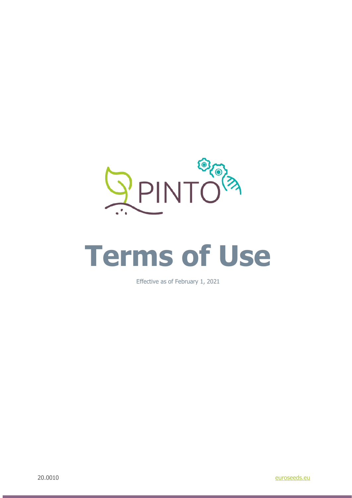

# **Terms of Use**

Effective as of February 1, 2021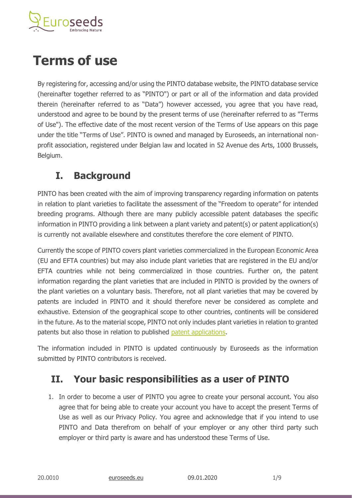

# **Terms of use**

By registering for, accessing and/or using the PINTO database website, the PINTO database service (hereinafter together referred to as "PINTO") or part or all of the information and data provided therein (hereinafter referred to as "Data") however accessed, you agree that you have read, understood and agree to be bound by the present terms of use (hereinafter referred to as "Terms of Use"). The effective date of the most recent version of the Terms of Use appears on this page under the title "Terms of Use". PINTO is owned and managed by Euroseeds, an international nonprofit association, registered under Belgian law and located in 52 Avenue des Arts, 1000 Brussels, Belgium.

#### **I. Background**

PINTO has been created with the aim of improving transparency regarding information on patents in relation to plant varieties to facilitate the assessment of the "Freedom to operate" for intended breeding programs. Although there are many publicly accessible patent databases the specific information in PINTO providing a link between a plant variety and patent(s) or patent application(s) is currently not available elsewhere and constitutes therefore the core element of PINTO.

Currently the scope of PINTO covers plant varieties commercialized in the European Economic Area (EU and EFTA countries) but may also include plant varieties that are registered in the EU and/or EFTA countries while not being commercialized in those countries. Further on, the patent information regarding the plant varieties that are included in PINTO is provided by the owners of the plant varieties on a voluntary basis. Therefore, not all plant varieties that may be covered by patents are included in PINTO and it should therefore never be considered as complete and exhaustive. Extension of the geographical scope to other countries, continents will be considered in the future. As to the material scope, PINTO not only includes plant varieties in relation to granted patents but also those in relation to published [patent applications.](https://www.euroseeds.eu/pinto-patent-information-and-transparency-on-line/the-patent-system-in-europe/)

The information included in PINTO is updated continuously by Euroseeds as the information submitted by PINTO contributors is received.

#### **II. Your basic responsibilities as a user of PINTO**

1. In order to become a user of PINTO you agree to create your personal account. You also agree that for being able to create your account you have to accept the present Terms of Use as well as our Privacy Policy. You agree and acknowledge that if you intend to use PINTO and Data therefrom on behalf of your employer or any other third party such employer or third party is aware and has understood these Terms of Use.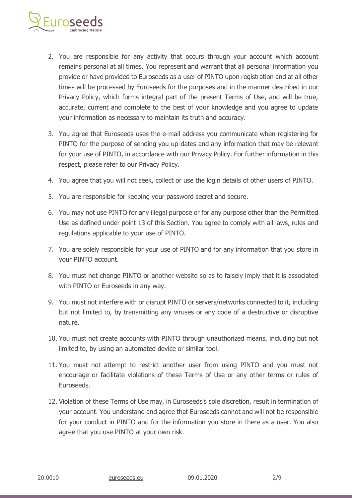

- 2. You are responsible for any activity that occurs through your account which account remains personal at all times. You represent and warrant that all personal information you provide or have provided to Euroseeds as a user of PINTO upon registration and at all other times will be processed by Euroseeds for the purposes and in the manner described in our Privacy Policy, which forms integral part of the present Terms of Use, and will be true, accurate, current and complete to the best of your knowledge and you agree to update your information as necessary to maintain its truth and accuracy.
- 3. You agree that Euroseeds uses the e-mail address you communicate when registering for PINTO for the purpose of sending you up-dates and any information that may be relevant for your use of PINTO, in accordance with our Privacy Policy. For further information in this respect, please refer to our Privacy Policy.
- 4. You agree that you will not seek, collect or use the login details of other users of PINTO.
- 5. You are responsible for keeping your password secret and secure.
- 6. You may not use PINTO for any illegal purpose or for any purpose other than the Permitted Use as defined under point 13 of this Section. You agree to comply with all laws, rules and regulations applicable to your use of PINTO.
- 7. You are solely responsible for your use of PINTO and for any information that you store in your PINTO account.
- 8. You must not change PINTO or another website so as to falsely imply that it is associated with PINTO or Euroseeds in any way.
- 9. You must not interfere with or disrupt PINTO or servers/networks connected to it, including but not limited to, by transmitting any viruses or any code of a destructive or disruptive nature.
- 10. You must not create accounts with PINTO through unauthorized means, including but not limited to, by using an automated device or similar tool.
- 11. You must not attempt to restrict another user from using PINTO and you must not encourage or facilitate violations of these Terms of Use or any other terms or rules of Euroseeds.
- 12. Violation of these Terms of Use may, in Euroseeds's sole discretion, result in termination of your account. You understand and agree that Euroseeds cannot and will not be responsible for your conduct in PINTO and for the information you store in there as a user. You also agree that you use PINTO at your own risk.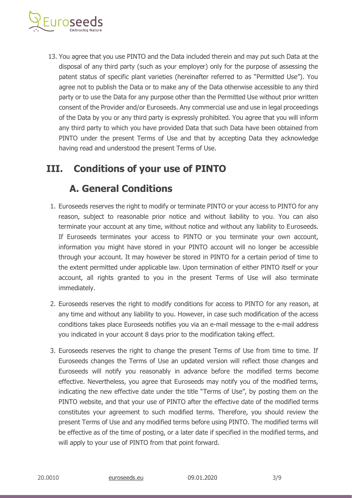

13. You agree that you use PINTO and the Data included therein and may put such Data at the disposal of any third party (such as your employer) only for the purpose of assessing the patent status of specific plant varieties (hereinafter referred to as "Permitted Use"). You agree not to publish the Data or to make any of the Data otherwise accessible to any third party or to use the Data for any purpose other than the Permitted Use without prior written consent of the Provider and/or Euroseeds. Any commercial use and use in legal proceedings of the Data by you or any third party is expressly prohibited. You agree that you will inform any third party to which you have provided Data that such Data have been obtained from PINTO under the present Terms of Use and that by accepting Data they acknowledge having read and understood the present Terms of Use.

#### **III. Conditions of your use of PINTO**

#### **A. General Conditions**

- 1. Euroseeds reserves the right to modify or terminate PINTO or your access to PINTO for any reason, subject to reasonable prior notice and without liability to you. You can also terminate your account at any time, without notice and without any liability to Euroseeds. If Euroseeds terminates your access to PINTO or you terminate your own account, information you might have stored in your PINTO account will no longer be accessible through your account. It may however be stored in PINTO for a certain period of time to the extent permitted under applicable law. Upon termination of either PINTO itself or your account, all rights granted to you in the present Terms of Use will also terminate immediately.
- 2. Euroseeds reserves the right to modify conditions for access to PINTO for any reason, at any time and without any liability to you. However, in case such modification of the access conditions takes place Euroseeds notifies you via an e-mail message to the e-mail address you indicated in your account 8 days prior to the modification taking effect.
- 3. Euroseeds reserves the right to change the present Terms of Use from time to time. If Euroseeds changes the Terms of Use an updated version will reflect those changes and Euroseeds will notify you reasonably in advance before the modified terms become effective. Nevertheless, you agree that Euroseeds may notify you of the modified terms, indicating the new effective date under the title "Terms of Use", by posting them on the PINTO website, and that your use of PINTO after the effective date of the modified terms constitutes your agreement to such modified terms. Therefore, you should review the present Terms of Use and any modified terms before using PINTO. The modified terms will be effective as of the time of posting, or a later date if specified in the modified terms, and will apply to your use of PINTO from that point forward.

20.0010 [euroseeds.eu](http://www.euroseeds.eu/) 09.01.2020 3/9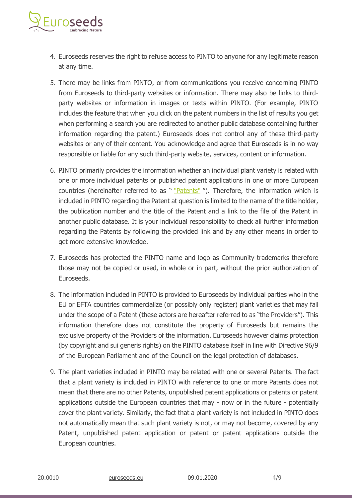

- 4. Euroseeds reserves the right to refuse access to PINTO to anyone for any legitimate reason at any time.
- 5. There may be links from PINTO, or from communications you receive concerning PINTO from Euroseeds to third-party websites or information. There may also be links to thirdparty websites or information in images or texts within PINTO. (For example, PINTO includes the feature that when you click on the patent numbers in the list of results you get when performing a search you are redirected to another public database containing further information regarding the patent.) Euroseeds does not control any of these third-party websites or any of their content. You acknowledge and agree that Euroseeds is in no way responsible or liable for any such third-party website, services, content or information.
- 6. PINTO primarily provides the information whether an individual plant variety is related with one or more individual patents or published patent applications in one or more European countries (hereinafter referred to as " ["Patents"](https://www.euroseeds.eu/pinto-patent-information-and-transparency-on-line/the-patent-system-in-europe/) "). Therefore, the information which is included in PINTO regarding the Patent at question is limited to the name of the title holder, the publication number and the title of the Patent and a link to the file of the Patent in another public database. It is your individual responsibility to check all further information regarding the Patents by following the provided link and by any other means in order to get more extensive knowledge.
- 7. Euroseeds has protected the PINTO name and logo as Community trademarks therefore those may not be copied or used, in whole or in part, without the prior authorization of Euroseeds.
- 8. The information included in PINTO is provided to Euroseeds by individual parties who in the EU or EFTA countries commercialize (or possibly only register) plant varieties that may fall under the scope of a Patent (these actors are hereafter referred to as "the Providers"). This information therefore does not constitute the property of Euroseeds but remains the exclusive property of the Providers of the information. Euroseeds however claims protection (by copyright and sui generis rights) on the PINTO database itself in line with Directive 96/9 of the European Parliament and of the Council on the legal protection of databases.
- 9. The plant varieties included in PINTO may be related with one or several Patents. The fact that a plant variety is included in PINTO with reference to one or more Patents does not mean that there are no other Patents, unpublished patent applications or patents or patent applications outside the European countries that may - now or in the future - potentially cover the plant variety. Similarly, the fact that a plant variety is not included in PINTO does not automatically mean that such plant variety is not, or may not become, covered by any Patent, unpublished patent application or patent or patent applications outside the European countries.

20.0010 [euroseeds.eu](http://www.euroseeds.eu/) 09.01.2020 4/9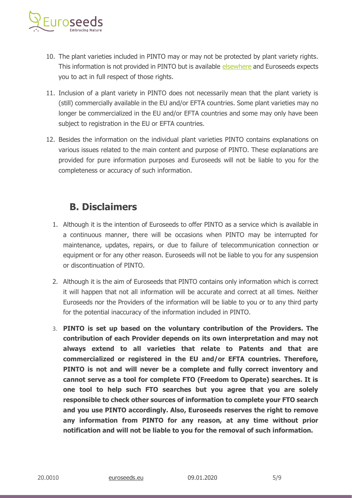

- 10. The plant varieties included in PINTO may or may not be protected by plant variety rights. This information is not provided in PINTO but is available [elsewhere](https://online.plantvarieties.eu/#/publicsearch) and Euroseeds expects you to act in full respect of those rights.
- 11. Inclusion of a plant variety in PINTO does not necessarily mean that the plant variety is (still) commercially available in the EU and/or EFTA countries. Some plant varieties may no longer be commercialized in the EU and/or EFTA countries and some may only have been subject to registration in the EU or EFTA countries.
- 12. Besides the information on the individual plant varieties PINTO contains explanations on various issues related to the main content and purpose of PINTO. These explanations are provided for pure information purposes and Euroseeds will not be liable to you for the completeness or accuracy of such information.

#### **B. Disclaimers**

- 1. Although it is the intention of Euroseeds to offer PINTO as a service which is available in a continuous manner, there will be occasions when PINTO may be interrupted for maintenance, updates, repairs, or due to failure of telecommunication connection or equipment or for any other reason. Euroseeds will not be liable to you for any suspension or discontinuation of PINTO.
- 2. Although it is the aim of Euroseeds that PINTO contains only information which is correct it will happen that not all information will be accurate and correct at all times. Neither Euroseeds nor the Providers of the information will be liable to you or to any third party for the potential inaccuracy of the information included in PINTO.
- 3. **PINTO is set up based on the voluntary contribution of the Providers. The contribution of each Provider depends on its own interpretation and may not always extend to all varieties that relate to Patents and that are commercialized or registered in the EU and/or EFTA countries. Therefore, PINTO is not and will never be a complete and fully correct inventory and cannot serve as a tool for complete FTO (Freedom to Operate) searches. It is one tool to help such FTO searches but you agree that you are solely responsible to check other sources of information to complete your FTO search and you use PINTO accordingly. Also, Euroseeds reserves the right to remove any information from PINTO for any reason, at any time without prior notification and will not be liable to you for the removal of such information.**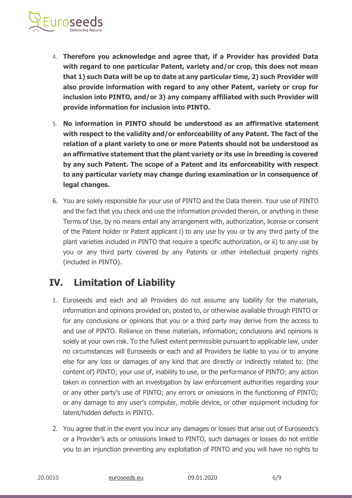

- 4. **Therefore you acknowledge and agree that, if a Provider has provided Data with regard to one particular Patent, variety and/or crop, this does not mean that 1) such Data will be up to date at any particular time, 2) such Provider will also provide information with regard to any other Patent, variety or crop for inclusion into PINTO, and/or 3) any company affiliated with such Provider will provide information for inclusion into PINTO.**
- 5. **No information in PINTO should be understood as an affirmative statement with respect to the validity and/or enforceability of any Patent. The fact of the relation of a plant variety to one or more Patents should not be understood as an affirmative statement that the plant variety or its use in breeding is covered by any such Patent. The scope of a Patent and its enforceability with respect to any particular variety may change during examination or in consequence of legal changes.**
- 6. You are solely responsible for your use of PINTO and the Data therein. Your use of PINTO and the fact that you check and use the information provided therein, or anything in these Terms of Use, by no means entail any arrangement with, authorization, license or consent of the Patent holder or Patent applicant i) to any use by you or by any third party of the plant varieties included in PINTO that require a specific authorization, or ii) to any use by you or any third party covered by any Patents or other intellectual property rights (included in PINTO).

#### **IV. Limitation of Liability**

- 1. Euroseeds and each and all Providers do not assume any liability for the materials, information and opinions provided on, posted to, or otherwise available through PINTO or for any conclusions or opinions that you or a third party may derive from the access to and use of PINTO. Reliance on these materials, information; conclusions and opinions is solely at your own risk. To the fullest extent permissible pursuant to applicable law, under no circumstances will Euroseeds or each and all Providers be liable to you or to anyone else for any loss or damages of any kind that are directly or indirectly related to: (the content of) PINTO; your use of, inability to use, or the performance of PINTO; any action taken in connection with an investigation by law enforcement authorities regarding your or any other party's use of PINTO; any errors or omissions in the functioning of PINTO; or any damage to any user's computer, mobile device, or other equipment including for latent/hidden defects in PINTO.
- 2. You agree that in the event you incur any damages or losses that arise out of Euroseeds's or a Provider's acts or omissions linked to PINTO, such damages or losses do not entitle you to an injunction preventing any exploitation of PINTO and you will have no rights to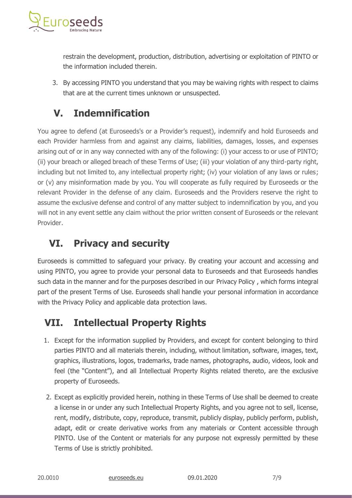

restrain the development, production, distribution, advertising or exploitation of PINTO or the information included therein.

3. By accessing PINTO you understand that you may be waiving rights with respect to claims that are at the current times unknown or unsuspected.

## **V. Indemnification**

You agree to defend (at Euroseeds's or a Provider's request), indemnify and hold Euroseeds and each Provider harmless from and against any claims, liabilities, damages, losses, and expenses arising out of or in any way connected with any of the following: (i) your access to or use of PINTO; (ii) your breach or alleged breach of these Terms of Use; (iii) your violation of any third-party right, including but not limited to, any intellectual property right; (iv) your violation of any laws or rules; or (v) any misinformation made by you. You will cooperate as fully required by Euroseeds or the relevant Provider in the defense of any claim. Euroseeds and the Providers reserve the right to assume the exclusive defense and control of any matter subject to indemnification by you, and you will not in any event settle any claim without the prior written consent of Euroseeds or the relevant Provider.

#### **VI. Privacy and security**

Euroseeds is committed to safeguard your privacy. By creating your account and accessing and using PINTO, you agree to provide your personal data to Euroseeds and that Euroseeds handles such data in the manner and for the purposes described in our Privacy Policy , which forms integral part of the present Terms of Use. Euroseeds shall handle your personal information in accordance with the Privacy Policy and applicable data protection laws.

## **VII. Intellectual Property Rights**

- 1. Except for the information supplied by Providers, and except for content belonging to third parties PINTO and all materials therein, including, without limitation, software, images, text, graphics, illustrations, logos, trademarks, trade names, photographs, audio, videos, look and feel (the "Content"), and all Intellectual Property Rights related thereto, are the exclusive property of Euroseeds.
- 2. Except as explicitly provided herein, nothing in these Terms of Use shall be deemed to create a license in or under any such Intellectual Property Rights, and you agree not to sell, license, rent, modify, distribute, copy, reproduce, transmit, publicly display, publicly perform, publish, adapt, edit or create derivative works from any materials or Content accessible through PINTO. Use of the Content or materials for any purpose not expressly permitted by these Terms of Use is strictly prohibited.

20.0010 [euroseeds.eu](http://www.euroseeds.eu/) 09.01.2020 7/9